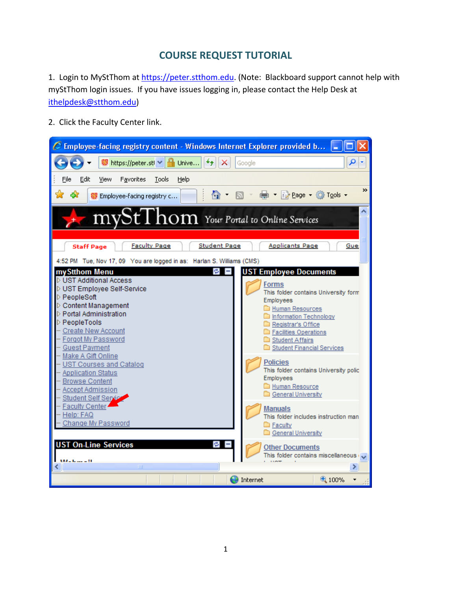## **COURSE REQUEST TUTORIAL**

1. Login to MyStThom at https://peter.stthom.edu. (Note: Blackboard support cannot help with myStThom login issues. If you have issues logging in, please contact the Help Desk at ithelpdesk@stthom.edu)

2. Click the Faculty Center link.

| C Employee-facing registry content - Windows Internet Explorer provided b                                                                                                                                                                                                                                                                                                                                                                                                                   |                                                                                                                                                                                                                                                                                                                                                           |  |  |  |  |  |
|---------------------------------------------------------------------------------------------------------------------------------------------------------------------------------------------------------------------------------------------------------------------------------------------------------------------------------------------------------------------------------------------------------------------------------------------------------------------------------------------|-----------------------------------------------------------------------------------------------------------------------------------------------------------------------------------------------------------------------------------------------------------------------------------------------------------------------------------------------------------|--|--|--|--|--|
| <b>■</b> Unive<br>$\frac{69}{10}$ https://peter.stl $\vee$                                                                                                                                                                                                                                                                                                                                                                                                                                  | م<br>Google                                                                                                                                                                                                                                                                                                                                               |  |  |  |  |  |
| Edit<br>File<br>Favorites<br>Tools<br>View<br>Help                                                                                                                                                                                                                                                                                                                                                                                                                                          |                                                                                                                                                                                                                                                                                                                                                           |  |  |  |  |  |
| Λ<br><b>\$</b> Employee-facing registry c                                                                                                                                                                                                                                                                                                                                                                                                                                                   | >><br>— <b>Deage - ① Tools -</b>                                                                                                                                                                                                                                                                                                                          |  |  |  |  |  |
| $mySt1$ $hom$ Your Portal to Online Services                                                                                                                                                                                                                                                                                                                                                                                                                                                |                                                                                                                                                                                                                                                                                                                                                           |  |  |  |  |  |
| <b>Faculty Page</b><br><b>Student Page</b><br><b>Applicants Page</b><br><b>Staff Page</b><br>Gue:                                                                                                                                                                                                                                                                                                                                                                                           |                                                                                                                                                                                                                                                                                                                                                           |  |  |  |  |  |
| 4:52 PM Tue, Nov 17, 09 You are logged in as: Harlan S. Williams (CMS)<br>my Stthom Menu<br>r.<br>D UST Additional Access<br>D UST Employee Self-Service<br>PeopleSoft<br>▷ Content Management<br>D Portal Administration<br><b>PeopleTools</b><br><b>Create New Account</b><br>Forgot My Password<br><b>Guest Payment</b><br>Make A Gift Online<br><b>UST Courses and Catalog</b><br><b>Application Status</b><br><b>Browse Content</b><br><b>Accept Admission</b><br>Student Self Service | <b>UST Employee Documents</b><br>Forms<br>This folder contains University form<br>Employees<br>Human Resources<br>Information Technology<br>Registrar's Office<br>Facilities Operations<br>Student Affairs<br>Student Financial Services<br><b>Policies</b><br>This folder contains University polic<br>Employees<br>Human Resource<br>General University |  |  |  |  |  |
| Faculty Center<br>Help: FAQ<br>Change My Password                                                                                                                                                                                                                                                                                                                                                                                                                                           | <b>Manuals</b><br>This folder includes instruction man<br><b>Executly</b><br>General University                                                                                                                                                                                                                                                           |  |  |  |  |  |
| <b>UST On-Line Services</b>                                                                                                                                                                                                                                                                                                                                                                                                                                                                 | <b>Other Documents</b><br>This folder contains miscellaneous $\sqrt{}$                                                                                                                                                                                                                                                                                    |  |  |  |  |  |
| $ML\_$ $L = -11$<br>Ш                                                                                                                                                                                                                                                                                                                                                                                                                                                                       | ⊁                                                                                                                                                                                                                                                                                                                                                         |  |  |  |  |  |
|                                                                                                                                                                                                                                                                                                                                                                                                                                                                                             | 4100%<br>Internet                                                                                                                                                                                                                                                                                                                                         |  |  |  |  |  |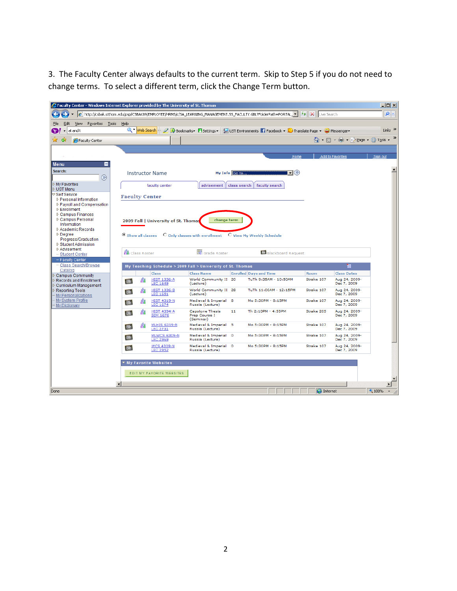3. The Faculty Center always defaults to the current term. Skip to Step 5 if you do not need to change terms. To select a different term, click the Change Term button.

| C Faculty Center - Windows Internet Explorer provided by The University of St. Thomas |           |                        |                                        |                                                             |               |                                                                                                                                     |                   |                              | $ \Box$ $\times$          |
|---------------------------------------------------------------------------------------|-----------|------------------------|----------------------------------------|-------------------------------------------------------------|---------------|-------------------------------------------------------------------------------------------------------------------------------------|-------------------|------------------------------|---------------------------|
|                                                                                       |           |                        |                                        |                                                             |               |                                                                                                                                     |                   |                              | $\rho$ .                  |
| Favorites Tools Help<br>Edit<br><b>View</b><br>Eile                                   |           |                        |                                        |                                                             |               |                                                                                                                                     |                   |                              |                           |
| at and t<br>Y)                                                                        |           |                        |                                        |                                                             |               | Q v Web Search $\rightarrow \mathbb{Q}$ Speckmarks v El Settings v Q UST Environments 1 Facebook v C Translate Page v C Messenger v |                   |                              | Links <sup>&gt;&gt;</sup> |
| Faculty Center                                                                        |           |                        |                                        |                                                             |               |                                                                                                                                     |                   | ☆ 同 · 鳥 · 砂 Bage · ③ Tools · | $\rightarrow$             |
|                                                                                       |           |                        |                                        |                                                             |               |                                                                                                                                     |                   |                              |                           |
|                                                                                       |           |                        |                                        |                                                             |               | Home                                                                                                                                |                   | <b>Add to Favorites</b>      | Sign out                  |
| Е<br><b>Menu</b>                                                                      |           |                        |                                        |                                                             |               |                                                                                                                                     |                   |                              |                           |
| Search:<br>$\circledR$                                                                |           |                        | <b>Instructor Name</b>                 |                                                             | My Info Go to | $\overline{\mathbf{v}}(\infty)$                                                                                                     |                   |                              |                           |
| My Favorites<br><b>D</b> UST Menu                                                     |           |                        | faculty center                         | advisement                                                  | class search  | faculty search                                                                                                                      |                   |                              |                           |
| ≂ Self Service                                                                        |           | <b>Faculty Center</b>  |                                        |                                                             |               |                                                                                                                                     |                   |                              |                           |
| ▷ Personal Information<br>▷ Pavroll and Compensation                                  |           |                        |                                        |                                                             |               |                                                                                                                                     |                   |                              |                           |
| ▷ Enrollment                                                                          |           |                        |                                        |                                                             |               |                                                                                                                                     |                   |                              |                           |
| Campus Finances                                                                       |           |                        |                                        |                                                             |               |                                                                                                                                     |                   |                              |                           |
| ▷ Campus Personal<br>Information                                                      |           |                        | 2009 Fall   University of St. Thomas   | change term                                                 |               |                                                                                                                                     |                   |                              |                           |
| ▷ Academic Records                                                                    |           |                        |                                        |                                                             |               |                                                                                                                                     |                   |                              |                           |
| $D$ Degree                                                                            |           | C Show all classes     |                                        | O Only classes with enrollment                              |               | O View My Weekly Schedule                                                                                                           |                   |                              |                           |
| Progress/Graduation                                                                   |           |                        |                                        |                                                             |               |                                                                                                                                     |                   |                              |                           |
| ▷ Student Admission<br>Advisement                                                     |           |                        |                                        |                                                             |               |                                                                                                                                     |                   |                              |                           |
| - Student Center                                                                      |           | <b>AB</b> Class Roster |                                        | Grade Roster                                                |               | <b>Bb</b> Blackboard Request                                                                                                        |                   |                              |                           |
| - Faculty Center                                                                      |           |                        |                                        |                                                             |               |                                                                                                                                     |                   |                              |                           |
| - Class Search/Browse<br>Catalog                                                      |           |                        |                                        | My Teaching Schedule > 2009 Fall > University of St. Thomas |               |                                                                                                                                     |                   | HH.                          |                           |
| Campus Community                                                                      |           |                        | Class                                  | <b>Class Name</b>                                           |               | <b>Enrolled Days and Time</b>                                                                                                       | <b>Room</b>       | <b>Class Dates</b>           |                           |
| <b>Records and Enrollment</b><br>$\triangleright$ Curriculum Management               | <b>Bb</b> | ñλ                     | HIST 1336-A<br><b>LEC 1649</b>         | World Community II 20<br>(Lecture)                          |               | TuTh 9:35AM - 10:50AM                                                                                                               | Strake 107        | Aug 24, 2009-<br>Dec 7, 2009 |                           |
| Reporting Tools<br>My Personalizations                                                | <b>Bb</b> | 縮                      | <b>HIST 1336-B</b><br><b>LEC 1651</b>  | World Community II 28<br>(Lecture)                          |               | TuTh 11:00AM - 12:15PM                                                                                                              | Strake 107        | Aug 24, 2009-<br>Dec 7, 2009 |                           |
| My System Profile<br>- My Dictionary                                                  | <b>Bb</b> | 縮                      | <b>HIST 4319-N</b><br><b>LEC 1674</b>  | Medieval & Imperial 8<br>Russia (Lecture)                   |               | Mo 5:30PM - 8:15PM                                                                                                                  | Strake 107        | Aug 24, 2009-<br>Dec 7, 2009 |                           |
|                                                                                       | <b>Bb</b> | 縮                      | <b>HIST 4394-A</b><br><b>SEM 1678</b>  | <b>Capstone Thesis</b><br>Prep Course I<br>(Seminar)        | 11            | Th 2:10PM - 4:55PM                                                                                                                  | Strake 205        | Aug 24, 2009-<br>Dec 7, 2009 |                           |
|                                                                                       | <b>Bb</b> | 縮                      | <b>MLHIS 6319-N</b><br><b>LEC 2731</b> | Medieval & Imperial 5<br>Russia (Lecture)                   |               | Mo 5:30PM - 8:15PM                                                                                                                  | Strake 107        | Aug 24, 2009-<br>Dec 7, 2009 |                           |
|                                                                                       | <b>Bb</b> |                        | <b>MLWCS 6309-N</b><br>LEC 2969        | Medieval & Imperial 0<br>Russia (Lecture)                   |               | Mo 5:30PM - 8:15PM                                                                                                                  | Strake 107        | Aug 24, 2009-<br>Dec 7, 2009 |                           |
|                                                                                       | <b>Bb</b> |                        | <b>WCS 4309-N</b><br><b>LEC 2952</b>   | Medieval & Imperial 0<br>Russia (Lecture)                   |               | Mo 5:30PM - 8:15PM                                                                                                                  | Strake 107        | Aug 24, 2009-<br>Dec 7, 2009 |                           |
|                                                                                       |           |                        | My Favorite Websites                   |                                                             |               |                                                                                                                                     |                   |                              |                           |
|                                                                                       |           |                        |                                        |                                                             |               |                                                                                                                                     |                   |                              |                           |
|                                                                                       |           |                        | EDIT MY FAVORITE WEBSITES              |                                                             |               |                                                                                                                                     |                   |                              |                           |
|                                                                                       |           |                        |                                        |                                                             |               |                                                                                                                                     |                   |                              |                           |
| Done                                                                                  |           |                        |                                        |                                                             |               |                                                                                                                                     | <b>O</b> Internet |                              | 4100%                     |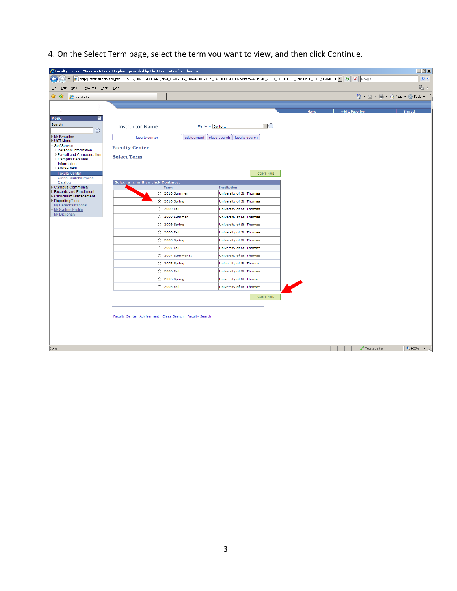4. On the Select Term page, select the term you want to view, and then click Continue.

|                                                                | Faculty Center - Windows Internet Explorer provided by The University of St. Thomas |                        |                                                                                                                                                                     |      |                  | $\frac{1}{2}$                   |
|----------------------------------------------------------------|-------------------------------------------------------------------------------------|------------------------|---------------------------------------------------------------------------------------------------------------------------------------------------------------------|------|------------------|---------------------------------|
|                                                                |                                                                                     |                        | http://cstst.stthom.edu/psp/CSTST89/EMPLOYEE/HRMS/c/SA_LEARNING_MANAGEMENT.SS_FACULTY.GBL?FolderPath=PORTAL_ROOT_OBJECT.CO_EMPLOYEE_SELF_SERVICE.H v 4   X   Google |      |                  | $\rho$ .                        |
| View Favorites Tools Help<br>Edit<br><u>File</u>               |                                                                                     |                        |                                                                                                                                                                     |      |                  | 勒 -                             |
| ਕ ਕ<br>Faculty Center                                          |                                                                                     |                        |                                                                                                                                                                     |      |                  | ☆ - 5 - 曲 - Prege - ⊙ Tools - > |
|                                                                |                                                                                     |                        |                                                                                                                                                                     |      |                  |                                 |
|                                                                |                                                                                     |                        |                                                                                                                                                                     | Home | Add to Favorites | Sign out                        |
| Menu<br>-<br>Search:<br>$\circledR$                            | <b>Instructor Name</b>                                                              |                        | $\mathbf{E}^{(n)}$<br>My Info Go to                                                                                                                                 |      |                  |                                 |
| My Favorites<br>UST Menu                                       | faculty center                                                                      |                        | advisement   class search   faculty search                                                                                                                          |      |                  |                                 |
| Self Service<br>▷ Personal Information                         | <b>Faculty Center</b>                                                               |                        |                                                                                                                                                                     |      |                  |                                 |
| ▷ Payroll and Compensation<br>▷ Campus Personal<br>Information | <b>Select Term</b>                                                                  |                        |                                                                                                                                                                     |      |                  |                                 |
| ▷ Advisement<br>- Faculty Center<br>- Class Search/Browse      |                                                                                     |                        | CONTINUE                                                                                                                                                            |      |                  |                                 |
| Catalog<br>Campus Community                                    | Select a term then click Continue.                                                  | Term                   | Institution                                                                                                                                                         |      |                  |                                 |
| Records and Enrollment                                         |                                                                                     | C 2010 Summer          | University of St. Thomas                                                                                                                                            |      |                  |                                 |
| Curriculum Management<br><b>Reporting Tools</b>                |                                                                                     | ◎ 2010 Spring          | University of St. Thomas                                                                                                                                            |      |                  |                                 |
| My Personalizations<br>My System Profile                       |                                                                                     | C 2009 Fall            | University of St. Thomas                                                                                                                                            |      |                  |                                 |
| My Dictionary                                                  |                                                                                     | C 2009 Summer          | University of St. Thomas                                                                                                                                            |      |                  |                                 |
|                                                                |                                                                                     | $\bigcirc$ 2009 Spring | University of St. Thomas                                                                                                                                            |      |                  |                                 |
|                                                                |                                                                                     | C 2008 Fall            | University of St. Thomas                                                                                                                                            |      |                  |                                 |
|                                                                |                                                                                     | $\bigcirc$ 2008 Spring | University of St. Thomas                                                                                                                                            |      |                  |                                 |
|                                                                |                                                                                     | C 2007 Fall            | University of St. Thomas                                                                                                                                            |      |                  |                                 |
|                                                                |                                                                                     | C 2007 Summer II       | University of St. Thomas                                                                                                                                            |      |                  |                                 |
|                                                                |                                                                                     | $\bigcirc$ 2007 Spring | University of St. Thomas                                                                                                                                            |      |                  |                                 |
|                                                                |                                                                                     | C 2006 Fall            | University of St. Thomas                                                                                                                                            |      |                  |                                 |
|                                                                |                                                                                     | $\bigcirc$ 2006 Spring | University of St. Thomas                                                                                                                                            |      |                  |                                 |
|                                                                |                                                                                     | C 2005 Fall            | University of St. Thomas                                                                                                                                            |      |                  |                                 |
|                                                                |                                                                                     |                        | <b>CONTINUE</b>                                                                                                                                                     |      |                  |                                 |
|                                                                | Faculty Center Advisement Class Search Faculty Search                               |                        |                                                                                                                                                                     |      |                  |                                 |
|                                                                |                                                                                     |                        |                                                                                                                                                                     |      |                  |                                 |
| Done                                                           |                                                                                     |                        |                                                                                                                                                                     |      | Trusted sites    | $\frac{1}{2}$ 100% $\sim$       |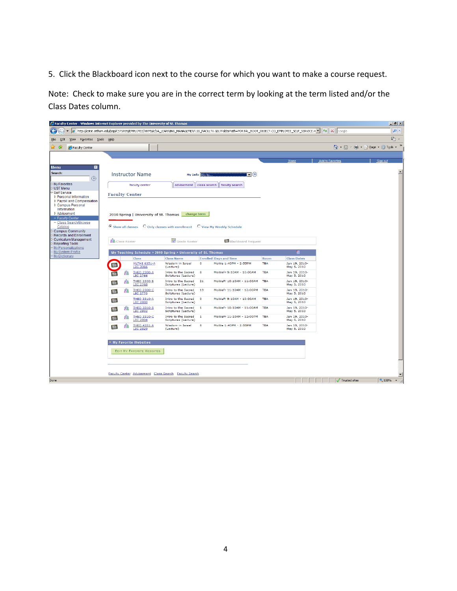5. Click the Blackboard icon next to the course for which you want to make a course request.

Note: Check to make sure you are in the correct term by looking at the term listed and/or the Class Dates column.

|                                                          | <b>C</b> Faculty Center - Windows Internet Explorer provided by The University of St. Thomas                                                                           |                                                                        |                                            |                         | $\Box$ $\Box$ $\times$           |
|----------------------------------------------------------|------------------------------------------------------------------------------------------------------------------------------------------------------------------------|------------------------------------------------------------------------|--------------------------------------------|-------------------------|----------------------------------|
|                                                          | http://cstst.stthom.edu/psp/CST5T89/EMPLOYEE/HRMS/c/SA_LEARNING_MANAGEMENT.SS_FACULTY.GBL?FolderPath=PORTAL_ROOT_OBJECT.CO_EMPLOYEE_SELF_SERVICE.H =   ++   X   Google |                                                                        |                                            |                         | $\rho$ .                         |
| Eile<br>Edit<br>View F <u>a</u> vorites <u>T</u> ools    | Help                                                                                                                                                                   |                                                                        |                                            |                         | $\mathbb{Q}_1$ .                 |
| ਕ ਕ<br>Faculty Center                                    |                                                                                                                                                                        |                                                                        |                                            |                         | ☆ - 司 - 鼎 - Preage - ⊙ Tools - > |
|                                                          |                                                                                                                                                                        |                                                                        |                                            |                         |                                  |
|                                                          |                                                                                                                                                                        |                                                                        | Home                                       | <b>Add to Favorites</b> | Sign out                         |
| <b>Menu</b><br>۰<br>Search:                              |                                                                                                                                                                        |                                                                        |                                            |                         |                                  |
| $\circledR$                                              | <b>Instructor Name</b>                                                                                                                                                 | My Info Go to<br>$\blacktriangledown(\triangledown)$                   |                                            |                         |                                  |
| My Favorites<br>UST Menu                                 | faculty center                                                                                                                                                         | advisement   class search   faculty search                             |                                            |                         |                                  |
| <b>Self Service</b><br>▷ Personal Information            | <b>Faculty Center</b>                                                                                                                                                  |                                                                        |                                            |                         |                                  |
| ▷ Payroll and Compensation<br>▷ Campus Personal          |                                                                                                                                                                        |                                                                        |                                            |                         |                                  |
| Information                                              |                                                                                                                                                                        |                                                                        |                                            |                         |                                  |
| ▷ Advisement<br>- Faculty Center                         | 2010 Spring   University of St. Thomas                                                                                                                                 | change term                                                            |                                            |                         |                                  |
| - Class Search/Browse<br>Catalog                         | C Show all classes                                                                                                                                                     | $\circ$ Only classes with enrollment $\circ$ C View My Weekly Schedule |                                            |                         |                                  |
| <b>Campus Community</b><br><b>Records and Enrollment</b> |                                                                                                                                                                        |                                                                        |                                            |                         |                                  |
| Curriculum Management<br><b>Reporting Tools</b>          | <b>O</b> Class Roster                                                                                                                                                  | Grade Roster<br><b>Bb</b> Blackboard Request                           |                                            |                         |                                  |
| My Personalizations<br>My System Profile                 | My Teaching Schedule > 2010 Spring > University of St. Thomas                                                                                                          |                                                                        | ₩                                          |                         |                                  |
| My Dictionary                                            | Class<br><b>Class Name</b>                                                                                                                                             | <b>Enrolled Days and Time</b>                                          | <b>Class Dates</b><br>Room                 |                         |                                  |
|                                                          | <b>MLTHE 6351-A</b><br>Wisdom in Israel<br><b>Bb</b><br><b>LEC 3066</b><br>(Lecture)                                                                                   | $\bullet$<br>MoWe 1:40PM - 2:55PM                                      | Jan 19, 2010-<br><b>TBA</b><br>May 5, 2010 |                         |                                  |
|                                                          | <b>THEO 2300-A</b><br>Intro to the Sacred<br><b>Bb</b><br><b>LEC 2766</b><br>Scriptures (Lecture)                                                                      | 8<br>MoWeFr 9:10AM - 10:00AM                                           | <b>TBA</b><br>Jan 19, 2010-<br>May 5, 2010 |                         |                                  |
|                                                          | <b>THEO 2300-B</b><br>Intro to the Sacred<br>88<br><b>Bb</b><br><b>LEC 2768</b><br>Scriptures (Lecture)                                                                | 21<br>MoWeFr 10:10AM - 11:00AM                                         | Jan 19, 2010-<br><b>TBA</b><br>May 5, 2010 |                         |                                  |
|                                                          | <b>THEO 2300-C</b><br>Intro to the Sacred<br>縮<br><b>Bb</b><br><b>LEC 2770</b><br>Scriptures (Lecture)                                                                 | 19<br>MoWeFr 11:10AM - 12:00PM                                         | <b>TBA</b><br>Jan 19, 2010-<br>May 5, 2010 |                         |                                  |
|                                                          | <b>THEO 3310-A</b><br>Intro to the Sacred<br><b>Bb</b><br><b>LEC 2800</b><br>Scriptures (Lecture)                                                                      | $\circ$<br>MoWeFr 9:10AM - 10:00AM                                     | <b>TBA</b><br>Jan 19, 2010-<br>May 5, 2010 |                         |                                  |
|                                                          | <b>THEO 3310-B</b><br>Intro to the Sacred<br>ቭጽ<br><b>Bb</b><br><b>LEC 2802</b><br>Scriptures (Lecture)                                                                | MoWeFr 10:10AM - 11:00AM<br>$\mathbf{1}$                               | <b>TBA</b><br>Jan 19, 2010-<br>May 5, 2010 |                         |                                  |
|                                                          | Intro to the Sacred<br><b>THEO 3310-C</b><br>縮<br><b>Bb</b><br><b>LEC 2804</b><br>Scriptures (Lecture)                                                                 | $\mathbf{1}$<br>MoWeFr 11:10AM - 12:00PM                               | <b>TBA</b><br>Jan 19, 2010-<br>May 5, 2010 |                         |                                  |
|                                                          | <b>THEO 4351-A</b><br>Wisdom in Israel<br><b>Bb</b><br><b>LEC 2829</b><br>(Lecture)                                                                                    | 8<br>MoWe 1:40PM - 2:55PM                                              | <b>TBA</b><br>Jan 19, 2010-<br>May 5, 2010 |                         |                                  |
|                                                          |                                                                                                                                                                        |                                                                        |                                            |                         |                                  |
|                                                          | My Favorite Websites                                                                                                                                                   |                                                                        |                                            |                         |                                  |
|                                                          | <b>EDIT MY FAVORITE WEBSITES</b>                                                                                                                                       |                                                                        |                                            |                         |                                  |
|                                                          |                                                                                                                                                                        |                                                                        |                                            |                         |                                  |
|                                                          |                                                                                                                                                                        |                                                                        |                                            |                         |                                  |
| Done                                                     | Faculty Center Advisement Class Search Faculty Search                                                                                                                  |                                                                        |                                            | Trusted sites           | $\star$                          |
|                                                          |                                                                                                                                                                        |                                                                        |                                            |                         | $\frac{4}{3}$ 100%               |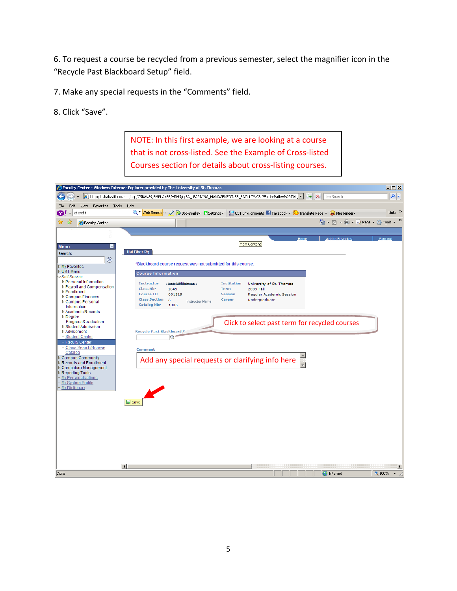6. To request a course be recycled from a previous semester, select the magnifier icon in the "Recycle Past Blackboard Setup" field.

7. Make any special requests in the "Comments" field.

8. Click "Save".

NOTE: In this first example, we are looking at a course that is not cross‐listed. See the Example of Cross‐listed Courses section for details about cross‐listing courses.

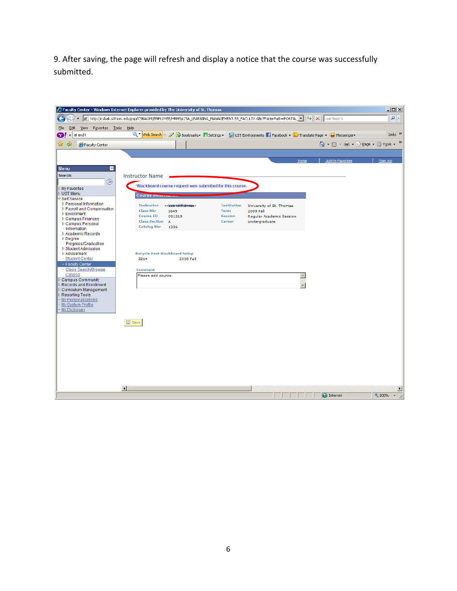9. After saving, the page will refresh and display a notice that the course was successfully submitted.

|                                            | <b>2</b> Faculty Center - Windows Internet Explorer provided by The University of St. Thomas                     | $-10x$                    |
|--------------------------------------------|------------------------------------------------------------------------------------------------------------------|---------------------------|
|                                            | http://csbak.stthom.edu/psp/CSBAK89/EMPLOYEE/HRMS/c/SA_LEARNING_MANAGEMENT.SS_FACULTY.GBL?FolderPath=PORTAL_v \6 | $\rho$ .                  |
| Edit View<br>Favorites Tools<br>Eile       | Help                                                                                                             |                           |
| at and t<br>Y)                             | Q * Web Search + 2 G Bookmarks • B Settings + L UST Environments F Facebook + C Translate Page + ● Messenger +   | Links <sup>&gt;&gt;</sup> |
| 48                                         | <b>个 - 同 - 中 - Page - ① Tools -</b>                                                                              | $\gg$                     |
| Faculty Center                             |                                                                                                                  |                           |
|                                            |                                                                                                                  |                           |
|                                            | <b>Add to Favorites</b><br>Home                                                                                  | Sign out                  |
| <b>Menu</b><br>Е                           |                                                                                                                  |                           |
| Search:                                    | <b>Instructor Name</b>                                                                                           |                           |
| $\circledR$                                | *Blackboard course request was submitted for this course.                                                        |                           |
| My Favorites<br><b>D</b> UST Menu          |                                                                                                                  |                           |
| <b>Self Service</b>                        | Course <i>Impin</i>                                                                                              |                           |
| ▷ Personal Information                     | <b>Instructor</b><br><b>Institution</b><br>** kreár útribitálranas<br>University of St. Thomas                   |                           |
| ▷ Payroll and Compensation<br>▷ Enrollment | <b>Class Nbr</b><br>2009 Fall<br>1649<br><b>Term</b>                                                             |                           |
| ▷ Campus Finances                          | <b>Course ID</b><br>001319<br><b>Session</b><br>Regular Academic Session                                         |                           |
| ▷ Campus Personal                          | <b>Class Section</b><br>Career<br>Undergraduate<br>$\overline{A}$                                                |                           |
| Information                                | <b>Catalog Nbr</b><br>1336                                                                                       |                           |
| ▷ Academic Records<br>$D$ Degree           |                                                                                                                  |                           |
| Progress/Graduation                        |                                                                                                                  |                           |
| ▷ Student Admission                        |                                                                                                                  |                           |
| ▷ Advisement                               | <b>Recycle Past Blackboard Setup</b>                                                                             |                           |
| - Student Center                           | 3214<br>2008 Fall                                                                                                |                           |
| - Faculty Center<br>- Class Search/Browse  | Comment                                                                                                          |                           |
| Catalog                                    | Please add course.<br>$\triangle$                                                                                |                           |
| Campus Community                           |                                                                                                                  |                           |
| Records and Enrollment                     |                                                                                                                  |                           |
| Curriculum Management<br>Reporting Tools   |                                                                                                                  |                           |
| My Personalizations                        |                                                                                                                  |                           |
| My System Profile                          |                                                                                                                  |                           |
| - My Dictionary                            |                                                                                                                  |                           |
|                                            |                                                                                                                  |                           |
|                                            | $\Box$ Save                                                                                                      |                           |
|                                            |                                                                                                                  |                           |
|                                            |                                                                                                                  |                           |
|                                            |                                                                                                                  |                           |
|                                            |                                                                                                                  |                           |
|                                            |                                                                                                                  |                           |
|                                            |                                                                                                                  |                           |
|                                            |                                                                                                                  |                           |
|                                            |                                                                                                                  |                           |
|                                            |                                                                                                                  |                           |
|                                            | $\left  \right $                                                                                                 | $\blacktriangleright$     |
|                                            | <b>O</b> Internet                                                                                                | 4100%                     |